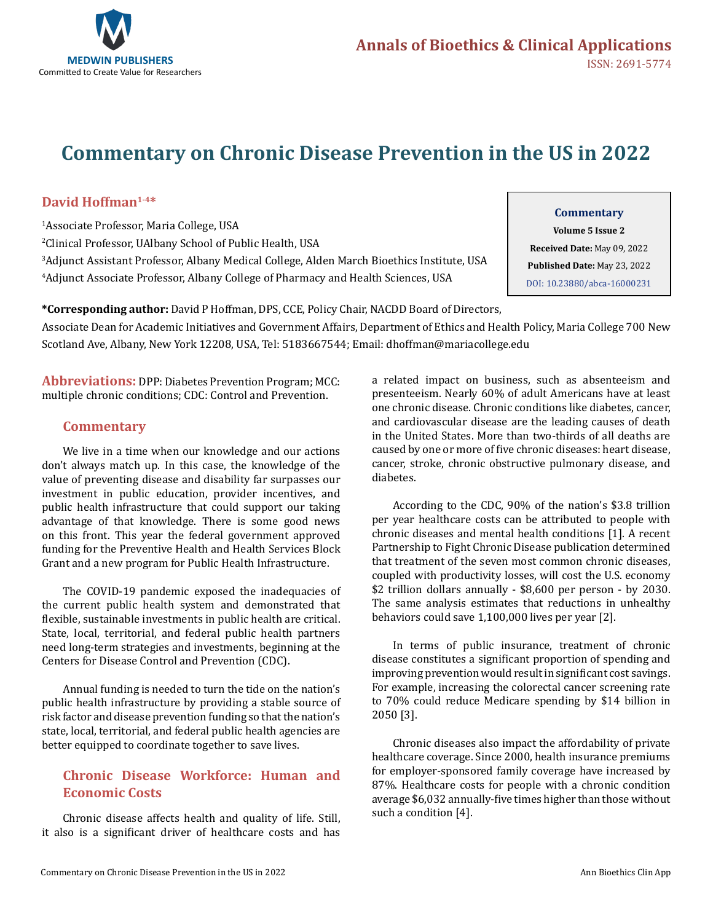

# **Commentary on Chronic Disease Prevention in the US in 2022**

## **David Hoffman1-4\***

 Associate Professor, Maria College, USA Clinical Professor, UAlbany School of Public Health, USA Adjunct Assistant Professor, Albany Medical College, Alden March Bioethics Institute, USA Adjunct Associate Professor, Albany College of Pharmacy and Health Sciences, USA

## **Commentary**

**Volume 5 Issue 2 Received Date:** May 09, 2022 **Published Date:** May 23, 2022 [DOI: 10.23880/abca-16000231](https://doi.org/10.23880/abca-16000231)

**\*Corresponding author:** David P Hoffman, DPS, CCE, Policy Chair, NACDD Board of Directors,

Associate Dean for Academic Initiatives and Government Affairs, Department of Ethics and Health Policy, Maria College 700 New Scotland Ave, Albany, New York 12208, USA, Tel: 5183667544; Email: dhoffman@mariacollege.edu

**Abbreviations:** DPP: Diabetes Prevention Program; MCC: multiple chronic conditions; CDC: Control and Prevention.

### **Commentary**

We live in a time when our knowledge and our actions don't always match up. In this case, the knowledge of the value of preventing disease and disability far surpasses our investment in public education, provider incentives, and public health infrastructure that could support our taking advantage of that knowledge. There is some good news on this front. This year the federal government approved funding for the Preventive Health and Health Services Block Grant and a new program for Public Health Infrastructure.

The COVID-19 pandemic exposed the inadequacies of the current public health system and demonstrated that flexible, sustainable investments in public health are critical. State, local, territorial, and federal public health partners need long-term strategies and investments, beginning at the Centers for Disease Control and Prevention (CDC).

Annual funding is needed to turn the tide on the nation's public health infrastructure by providing a stable source of risk factor and disease prevention funding so that the nation's state, local, territorial, and federal public health agencies are better equipped to coordinate together to save lives.

## **Chronic Disease Workforce: Human and Economic Costs**

Chronic disease affects health and quality of life. Still, it also is a significant driver of healthcare costs and has a related impact on business, such as absenteeism and presenteeism. Nearly 60% of adult Americans have at least one chronic disease. Chronic conditions like diabetes, cancer, and cardiovascular disease are the leading causes of death in the United States. More than two-thirds of all deaths are caused by one or more of five chronic diseases: heart disease, cancer, stroke, chronic obstructive pulmonary disease, and diabetes.

According to the CDC, 90% of the nation's \$3.8 trillion per year healthcare costs can be attributed to people with chronic diseases and mental health conditions [1]. A recent Partnership to Fight Chronic Disease publication determined that treatment of the seven most common chronic diseases, coupled with productivity losses, will cost the U.S. economy \$2 trillion dollars annually - \$8,600 per person - by 2030. The same analysis estimates that reductions in unhealthy behaviors could save 1,100,000 lives per year [2].

In terms of public insurance, treatment of chronic disease constitutes a significant proportion of spending and improving prevention would result in significant cost savings. For example, increasing the colorectal cancer screening rate to 70% could reduce Medicare spending by \$14 billion in 2050 [3].

Chronic diseases also impact the affordability of private healthcare coverage. Since 2000, health insurance premiums for employer-sponsored family coverage have increased by 87%. Healthcare costs for people with a chronic condition average \$6,032 annually-five times higher than those without such a condition [4].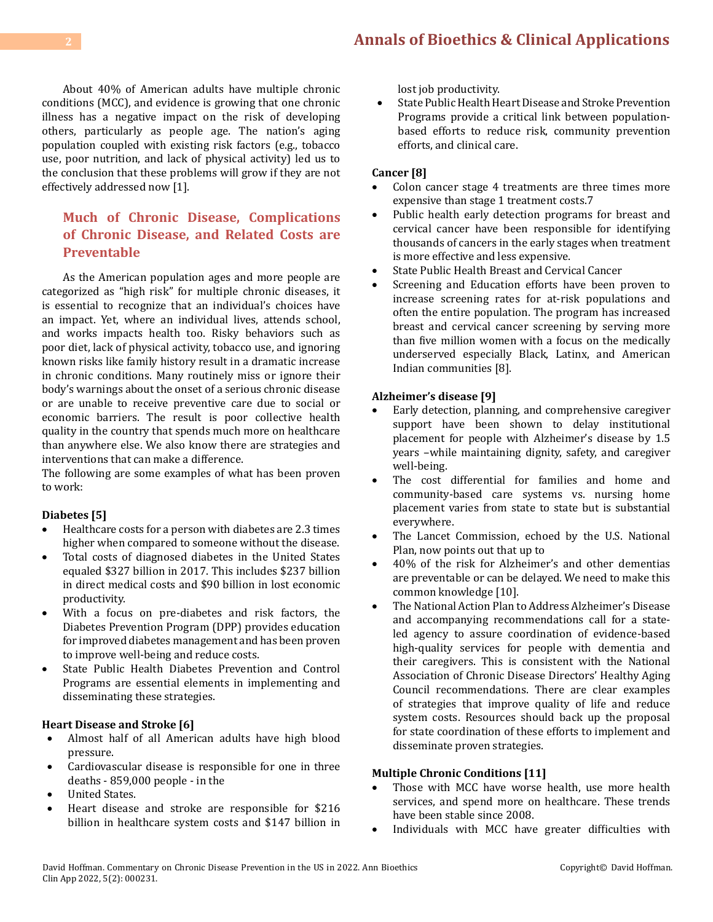About 40% of American adults have multiple chronic conditions (MCC), and evidence is growing that one chronic illness has a negative impact on the risk of developing others, particularly as people age. The nation's aging population coupled with existing risk factors (e.g., tobacco use, poor nutrition, and lack of physical activity) led us to the conclusion that these problems will grow if they are not effectively addressed now [1].

# **Much of Chronic Disease, Complications of Chronic Disease, and Related Costs are Preventable**

As the American population ages and more people are categorized as "high risk" for multiple chronic diseases, it is essential to recognize that an individual's choices have an impact. Yet, where an individual lives, attends school, and works impacts health too. Risky behaviors such as poor diet, lack of physical activity, tobacco use, and ignoring known risks like family history result in a dramatic increase in chronic conditions. Many routinely miss or ignore their body's warnings about the onset of a serious chronic disease or are unable to receive preventive care due to social or economic barriers. The result is poor collective health quality in the country that spends much more on healthcare than anywhere else. We also know there are strategies and interventions that can make a difference.

The following are some examples of what has been proven to work:

#### **Diabetes [5]**

- Healthcare costs for a person with diabetes are 2.3 times higher when compared to someone without the disease.
- Total costs of diagnosed diabetes in the United States equaled \$327 billion in 2017. This includes \$237 billion in direct medical costs and \$90 billion in lost economic productivity.
- • With a focus on pre-diabetes and risk factors, the Diabetes Prevention Program (DPP) provides education for improved diabetes management and has been proven to improve well-being and reduce costs.
- State Public Health Diabetes Prevention and Control Programs are essential elements in implementing and disseminating these strategies.

#### **Heart Disease and Stroke [6]**

- • Almost half of all American adults have high blood pressure.
- Cardiovascular disease is responsible for one in three deaths - 859,000 people - in the
- **United States.**
- Heart disease and stroke are responsible for \$216 billion in healthcare system costs and \$147 billion in

lost job productivity.

• State Public Health Heart Disease and Stroke Prevention Programs provide a critical link between populationbased efforts to reduce risk, community prevention efforts, and clinical care.

#### **Cancer [8]**

- Colon cancer stage 4 treatments are three times more expensive than stage 1 treatment costs.7
- Public health early detection programs for breast and cervical cancer have been responsible for identifying thousands of cancers in the early stages when treatment is more effective and less expensive.
- State Public Health Breast and Cervical Cancer
- Screening and Education efforts have been proven to increase screening rates for at-risk populations and often the entire population. The program has increased breast and cervical cancer screening by serving more than five million women with a focus on the medically underserved especially Black, Latinx, and American Indian communities [8].

#### **Alzheimer's disease [9]**

- Early detection, planning, and comprehensive caregiver support have been shown to delay institutional placement for people with Alzheimer's disease by 1.5 years –while maintaining dignity, safety, and caregiver well-being.
- The cost differential for families and home and community-based care systems vs. nursing home placement varies from state to state but is substantial everywhere.
- The Lancet Commission, echoed by the U.S. National Plan, now points out that up to
- 40% of the risk for Alzheimer's and other dementias are preventable or can be delayed. We need to make this common knowledge [10].
- The National Action Plan to Address Alzheimer's Disease and accompanying recommendations call for a stateled agency to assure coordination of evidence-based high-quality services for people with dementia and their caregivers. This is consistent with the National Association of Chronic Disease Directors' Healthy Aging Council recommendations. There are clear examples of strategies that improve quality of life and reduce system costs. Resources should back up the proposal for state coordination of these efforts to implement and disseminate proven strategies.

#### **Multiple Chronic Conditions [11]**

- Those with MCC have worse health, use more health services, and spend more on healthcare. These trends have been stable since 2008.
- Individuals with MCC have greater difficulties with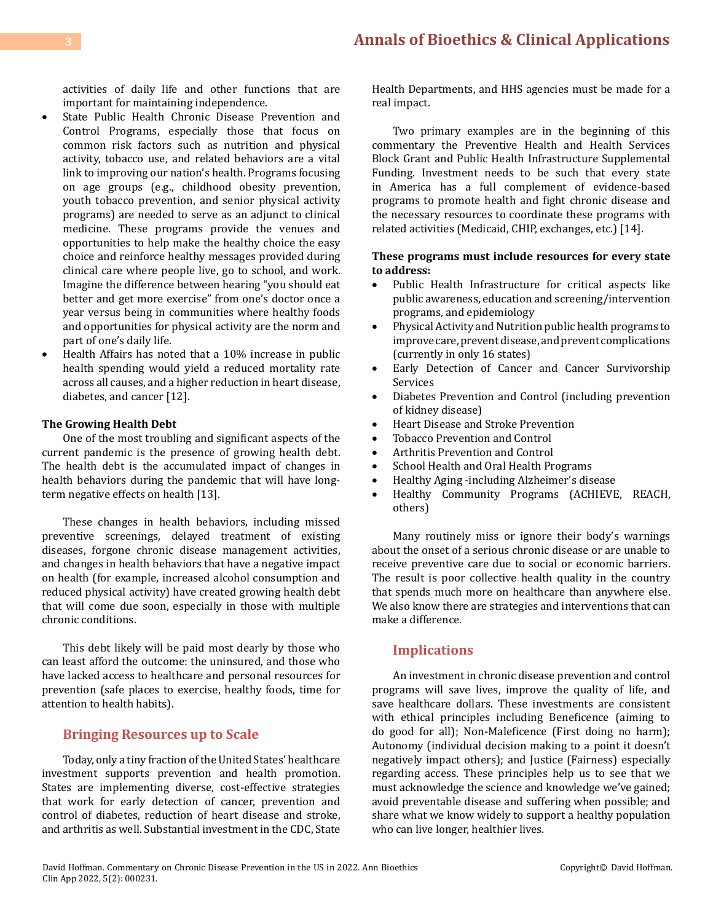activities of daily life and other functions that are important for maintaining independence.

- • State Public Health Chronic Disease Prevention and Control Programs, especially those that focus on common risk factors such as nutrition and physical activity, tobacco use, and related behaviors are a vital link to improving our nation's health. Programs focusing on age groups (e.g., childhood obesity prevention, youth tobacco prevention, and senior physical activity programs) are needed to serve as an adjunct to clinical medicine. These programs provide the venues and opportunities to help make the healthy choice the easy choice and reinforce healthy messages provided during clinical care where people live, go to school, and work. Imagine the difference between hearing "you should eat better and get more exercise" from one's doctor once a year versus being in communities where healthy foods and opportunities for physical activity are the norm and part of one's daily life.
- Health Affairs has noted that a 10% increase in public health spending would yield a reduced mortality rate across all causes, and a higher reduction in heart disease, diabetes, and cancer [12].

#### **The Growing Health Debt**

One of the most troubling and significant aspects of the current pandemic is the presence of growing health debt. The health debt is the accumulated impact of changes in health behaviors during the pandemic that will have longterm negative effects on health [13].

These changes in health behaviors, including missed preventive screenings, delayed treatment of existing diseases, forgone chronic disease management activities, and changes in health behaviors that have a negative impact on health (for example, increased alcohol consumption and reduced physical activity) have created growing health debt that will come due soon, especially in those with multiple chronic conditions.

This debt likely will be paid most dearly by those who can least afford the outcome: the uninsured, and those who have lacked access to healthcare and personal resources for prevention (safe places to exercise, healthy foods, time for attention to health habits).

#### **Bringing Resources up to Scale**

Today, only a tiny fraction of the United States' healthcare investment supports prevention and health promotion. States are implementing diverse, cost-effective strategies that work for early detection of cancer, prevention and control of diabetes, reduction of heart disease and stroke, and arthritis as well. Substantial investment in the CDC, State Health Departments, and HHS agencies must be made for a real impact.

Two primary examples are in the beginning of this commentary the Preventive Health and Health Services Block Grant and Public Health Infrastructure Supplemental Funding. Investment needs to be such that every state in America has a full complement of evidence-based programs to promote health and fight chronic disease and the necessary resources to coordinate these programs with related activities (Medicaid, CHIP, exchanges, etc.) [14].

#### **These programs must include resources for every state to address:**

- Public Health Infrastructure for critical aspects like public awareness, education and screening/intervention programs, and epidemiology
- • Physical Activity and Nutrition public health programs to improve care, prevent disease, and prevent complications (currently in only 16 states)
- • Early Detection of Cancer and Cancer Survivorship Services
- • Diabetes Prevention and Control (including prevention of kidney disease)
- Heart Disease and Stroke Prevention<br>• Tobacco Prevention and Control
- Tobacco Prevention and Control
- Arthritis Prevention and Control
- School Health and Oral Health Programs<br>• Healthy Aging-including Alzheimer's dis
- Healthy Aging -including Alzheimer's disease<br>• Healthy Community Programs (ACHIEVE
- Healthy Community Programs (ACHIEVE, REACH, others)

Many routinely miss or ignore their body's warnings about the onset of a serious chronic disease or are unable to receive preventive care due to social or economic barriers. The result is poor collective health quality in the country that spends much more on healthcare than anywhere else. We also know there are strategies and interventions that can make a difference.

#### **Implications**

An investment in chronic disease prevention and control programs will save lives, improve the quality of life, and save healthcare dollars. These investments are consistent with ethical principles including Beneficence (aiming to do good for all); Non-Maleficence (First doing no harm); Autonomy (individual decision making to a point it doesn't negatively impact others); and Justice (Fairness) especially regarding access. These principles help us to see that we must acknowledge the science and knowledge we've gained; avoid preventable disease and suffering when possible; and share what we know widely to support a healthy population who can live longer, healthier lives.